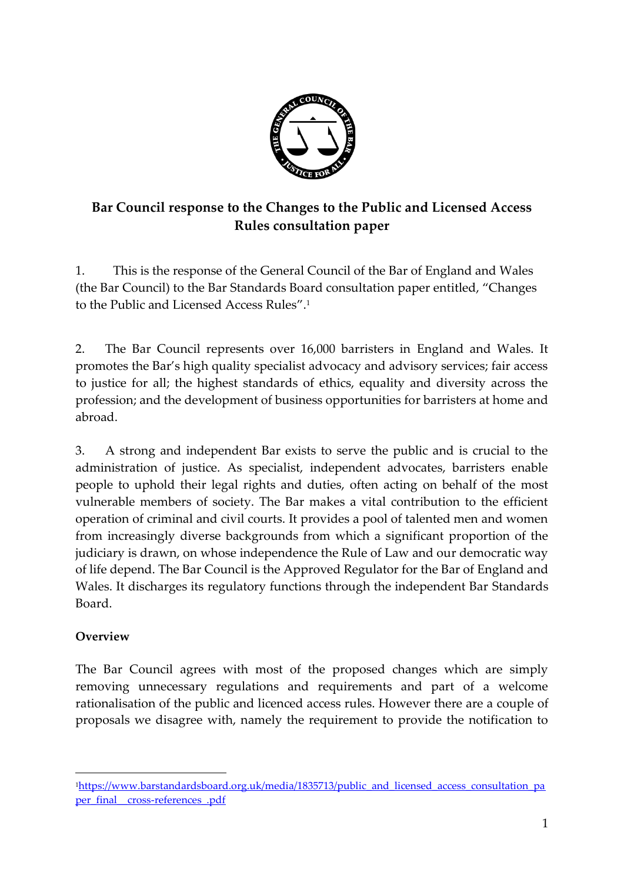

# **Bar Council response to the Changes to the Public and Licensed Access Rules consultation paper**

1. This is the response of the General Council of the Bar of England and Wales (the Bar Council) to the Bar Standards Board consultation paper entitled, "Changes to the Public and Licensed Access Rules". 1

2. The Bar Council represents over 16,000 barristers in England and Wales. It promotes the Bar's high quality specialist advocacy and advisory services; fair access to justice for all; the highest standards of ethics, equality and diversity across the profession; and the development of business opportunities for barristers at home and abroad.

3. A strong and independent Bar exists to serve the public and is crucial to the administration of justice. As specialist, independent advocates, barristers enable people to uphold their legal rights and duties, often acting on behalf of the most vulnerable members of society. The Bar makes a vital contribution to the efficient operation of criminal and civil courts. It provides a pool of talented men and women from increasingly diverse backgrounds from which a significant proportion of the judiciary is drawn, on whose independence the Rule of Law and our democratic way of life depend. The Bar Council is the Approved Regulator for the Bar of England and Wales. It discharges its regulatory functions through the independent Bar Standards Board.

## **Overview**

-

The Bar Council agrees with most of the proposed changes which are simply removing unnecessary regulations and requirements and part of a welcome rationalisation of the public and licenced access rules. However there are a couple of proposals we disagree with, namely the requirement to provide the notification to

<sup>1</sup>[https://www.barstandardsboard.org.uk/media/1835713/public\\_and\\_licensed\\_access\\_consultation\\_pa](https://www.barstandardsboard.org.uk/media/1835713/public_and_licensed_access_consultation_paper_final__cross-references_.pdf) per\_final\_cross-references\_.pdf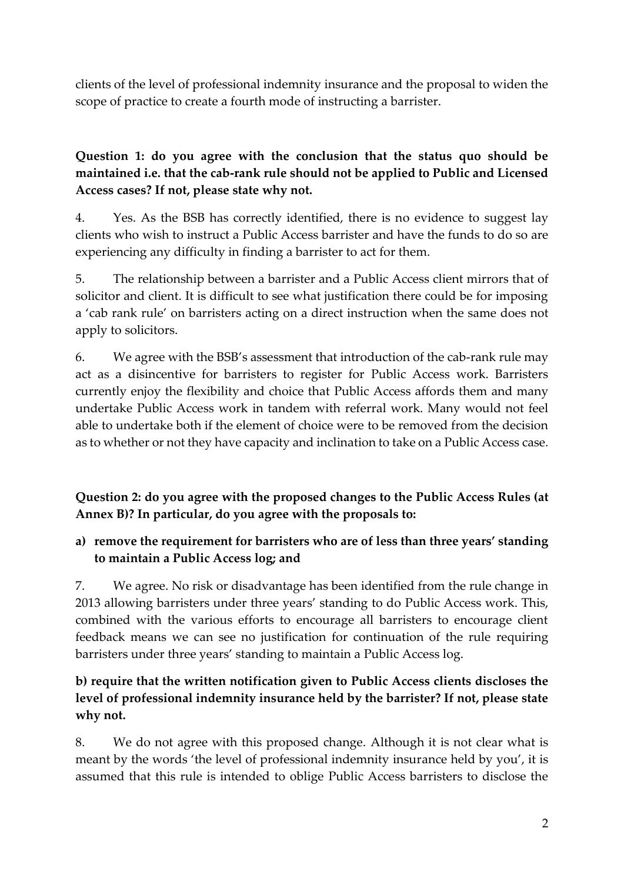clients of the level of professional indemnity insurance and the proposal to widen the scope of practice to create a fourth mode of instructing a barrister.

## **Question 1: do you agree with the conclusion that the status quo should be maintained i.e. that the cab-rank rule should not be applied to Public and Licensed Access cases? If not, please state why not.**

4. Yes. As the BSB has correctly identified, there is no evidence to suggest lay clients who wish to instruct a Public Access barrister and have the funds to do so are experiencing any difficulty in finding a barrister to act for them.

5. The relationship between a barrister and a Public Access client mirrors that of solicitor and client. It is difficult to see what justification there could be for imposing a 'cab rank rule' on barristers acting on a direct instruction when the same does not apply to solicitors.

6. We agree with the BSB's assessment that introduction of the cab-rank rule may act as a disincentive for barristers to register for Public Access work. Barristers currently enjoy the flexibility and choice that Public Access affords them and many undertake Public Access work in tandem with referral work. Many would not feel able to undertake both if the element of choice were to be removed from the decision as to whether or not they have capacity and inclination to take on a Public Access case.

**Question 2: do you agree with the proposed changes to the Public Access Rules (at Annex B)? In particular, do you agree with the proposals to:** 

## **a) remove the requirement for barristers who are of less than three years' standing to maintain a Public Access log; and**

7. We agree. No risk or disadvantage has been identified from the rule change in 2013 allowing barristers under three years' standing to do Public Access work. This, combined with the various efforts to encourage all barristers to encourage client feedback means we can see no justification for continuation of the rule requiring barristers under three years' standing to maintain a Public Access log.

## **b) require that the written notification given to Public Access clients discloses the level of professional indemnity insurance held by the barrister? If not, please state why not.**

8. We do not agree with this proposed change. Although it is not clear what is meant by the words 'the level of professional indemnity insurance held by you', it is assumed that this rule is intended to oblige Public Access barristers to disclose the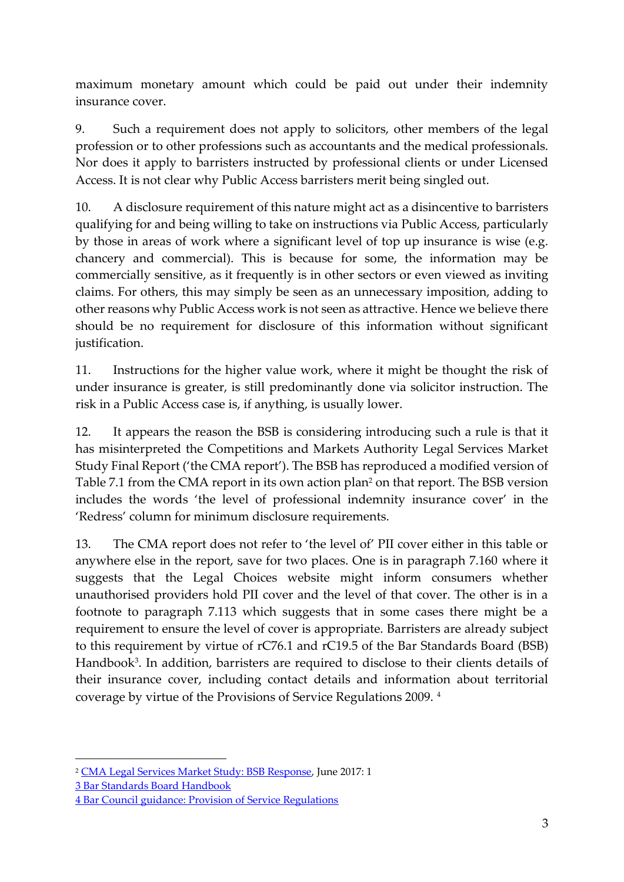maximum monetary amount which could be paid out under their indemnity insurance cover.

9. Such a requirement does not apply to solicitors, other members of the legal profession or to other professions such as accountants and the medical professionals. Nor does it apply to barristers instructed by professional clients or under Licensed Access. It is not clear why Public Access barristers merit being singled out.

10. A disclosure requirement of this nature might act as a disincentive to barristers qualifying for and being willing to take on instructions via Public Access, particularly by those in areas of work where a significant level of top up insurance is wise (e.g. chancery and commercial). This is because for some, the information may be commercially sensitive, as it frequently is in other sectors or even viewed as inviting claims. For others, this may simply be seen as an unnecessary imposition, adding to other reasons why Public Access work is not seen as attractive. Hence we believe there should be no requirement for disclosure of this information without significant justification.

11. Instructions for the higher value work, where it might be thought the risk of under insurance is greater, is still predominantly done via solicitor instruction. The risk in a Public Access case is, if anything, is usually lower.

12. It appears the reason the BSB is considering introducing such a rule is that it has misinterpreted the Competitions and Markets Authority Legal Services Market Study Final Report ('the CMA report'). The BSB has reproduced a modified version of Table 7.1 from the CMA report in its own action plan<sup>2</sup> on that report. The BSB version includes the words 'the level of professional indemnity insurance cover' in the 'Redress' column for minimum disclosure requirements.

13. The CMA report does not refer to 'the level of' PII cover either in this table or anywhere else in the report, save for two places. One is in paragraph 7.160 where it suggests that the Legal Choices website might inform consumers whether unauthorised providers hold PII cover and the level of that cover. The other is in a footnote to paragraph 7.113 which suggests that in some cases there might be a requirement to ensure the level of cover is appropriate. Barristers are already subject to this requirement by virtue of rC76.1 and rC19.5 of the Bar Standards Board (BSB) Handbook<sup>3</sup>. In addition, barristers are required to disclose to their clients details of their insurance cover, including contact details and information about territorial coverage by virtue of the Provisions of Service Regulations 2009. <sup>4</sup>

-

<sup>2</sup> [CMA Legal Services Market Study: BSB Response,](https://www.barstandardsboard.org.uk/media/1836947/cma_-_action_plan.pdf) June 2017: 1

<sup>3</sup> [Bar Standards Board Handbook](https://www.barstandardsboard.org.uk/media/1826458/bsb_handbook_31_march_2017.pdf)

<sup>4</sup> [Bar Council guidance: Provision of Service Regulations](http://www.barcouncil.org.uk/media/140938/provision_of_services_guidance.pdf)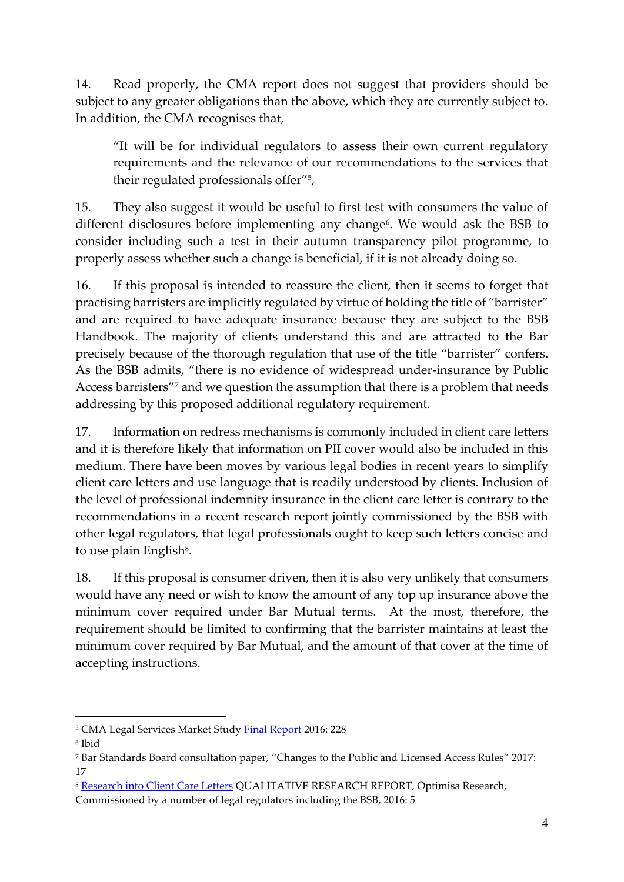14. Read properly, the CMA report does not suggest that providers should be subject to any greater obligations than the above, which they are currently subject to. In addition, the CMA recognises that,

"It will be for individual regulators to assess their own current regulatory requirements and the relevance of our recommendations to the services that their regulated professionals offer"<sup>5</sup> ,

15. They also suggest it would be useful to first test with consumers the value of different disclosures before implementing any change<sup>6</sup>. We would ask the BSB to consider including such a test in their autumn transparency pilot programme, to properly assess whether such a change is beneficial, if it is not already doing so.

16. If this proposal is intended to reassure the client, then it seems to forget that practising barristers are implicitly regulated by virtue of holding the title of "barrister" and are required to have adequate insurance because they are subject to the BSB Handbook. The majority of clients understand this and are attracted to the Bar precisely because of the thorough regulation that use of the title "barrister" confers. As the BSB admits, "there is no evidence of widespread under-insurance by Public Access barristers"<sup>7</sup> and we question the assumption that there is a problem that needs addressing by this proposed additional regulatory requirement.

17. Information on redress mechanisms is commonly included in client care letters and it is therefore likely that information on PII cover would also be included in this medium. There have been moves by various legal bodies in recent years to simplify client care letters and use language that is readily understood by clients. Inclusion of the level of professional indemnity insurance in the client care letter is contrary to the recommendations in a recent research report jointly commissioned by the BSB with other legal regulators, that legal professionals ought to keep such letters concise and to use plain English<sup>8</sup>.

18. If this proposal is consumer driven, then it is also very unlikely that consumers would have any need or wish to know the amount of any top up insurance above the minimum cover required under Bar Mutual terms. At the most, therefore, the requirement should be limited to confirming that the barrister maintains at least the minimum cover required by Bar Mutual, and the amount of that cover at the time of accepting instructions.

-

<sup>5</sup> CMA Legal Services Market Study [Final Report](https://assets.publishing.service.gov.uk/media/5887374d40f0b6593700001a/legal-services-market-study-final-report.pdf) 2016: 228

<sup>6</sup> Ibid

<sup>7</sup> Bar Standards Board consultation paper, "Changes to the Public and Licensed Access Rules" 2017: 17

<sup>8</sup> [Research into Client Care Letters](https://www.barstandardsboard.org.uk/media/1794566/client_care_letters_research_report_-_final_021116.pdf) QUALITATIVE RESEARCH REPORT, Optimisa Research, Commissioned by a number of legal regulators including the BSB, 2016: 5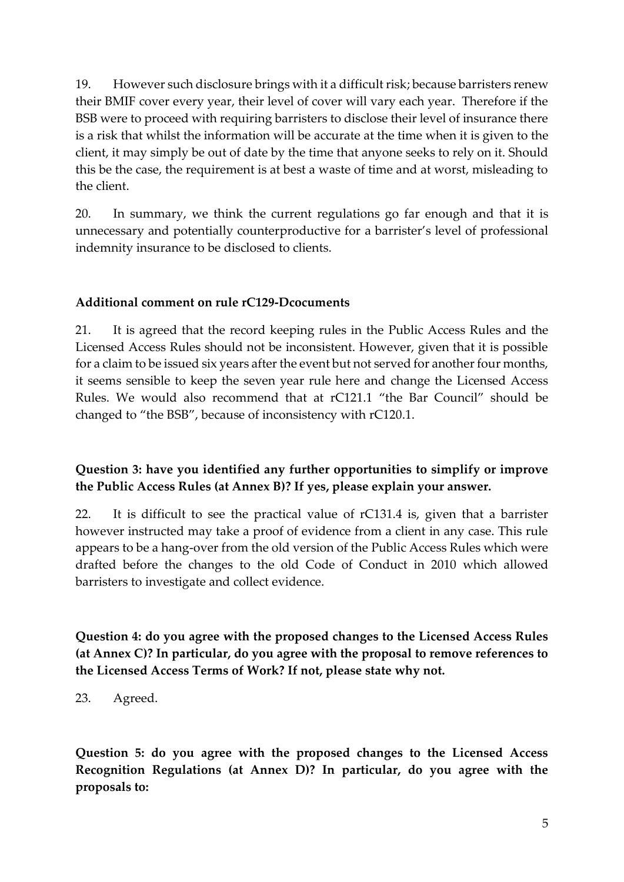19. However such disclosure brings with it a difficult risk; because barristers renew their BMIF cover every year, their level of cover will vary each year. Therefore if the BSB were to proceed with requiring barristers to disclose their level of insurance there is a risk that whilst the information will be accurate at the time when it is given to the client, it may simply be out of date by the time that anyone seeks to rely on it. Should this be the case, the requirement is at best a waste of time and at worst, misleading to the client.

20. In summary, we think the current regulations go far enough and that it is unnecessary and potentially counterproductive for a barrister's level of professional indemnity insurance to be disclosed to clients.

#### **Additional comment on rule rC129-Dcocuments**

21. It is agreed that the record keeping rules in the Public Access Rules and the Licensed Access Rules should not be inconsistent. However, given that it is possible for a claim to be issued six years after the event but not served for another four months, it seems sensible to keep the seven year rule here and change the Licensed Access Rules. We would also recommend that at rC121.1 "the Bar Council" should be changed to "the BSB", because of inconsistency with rC120.1.

## **Question 3: have you identified any further opportunities to simplify or improve the Public Access Rules (at Annex B)? If yes, please explain your answer.**

22. It is difficult to see the practical value of rC131.4 is, given that a barrister however instructed may take a proof of evidence from a client in any case. This rule appears to be a hang-over from the old version of the Public Access Rules which were drafted before the changes to the old Code of Conduct in 2010 which allowed barristers to investigate and collect evidence.

**Question 4: do you agree with the proposed changes to the Licensed Access Rules (at Annex C)? In particular, do you agree with the proposal to remove references to the Licensed Access Terms of Work? If not, please state why not.** 

23. Agreed.

**Question 5: do you agree with the proposed changes to the Licensed Access Recognition Regulations (at Annex D)? In particular, do you agree with the proposals to:**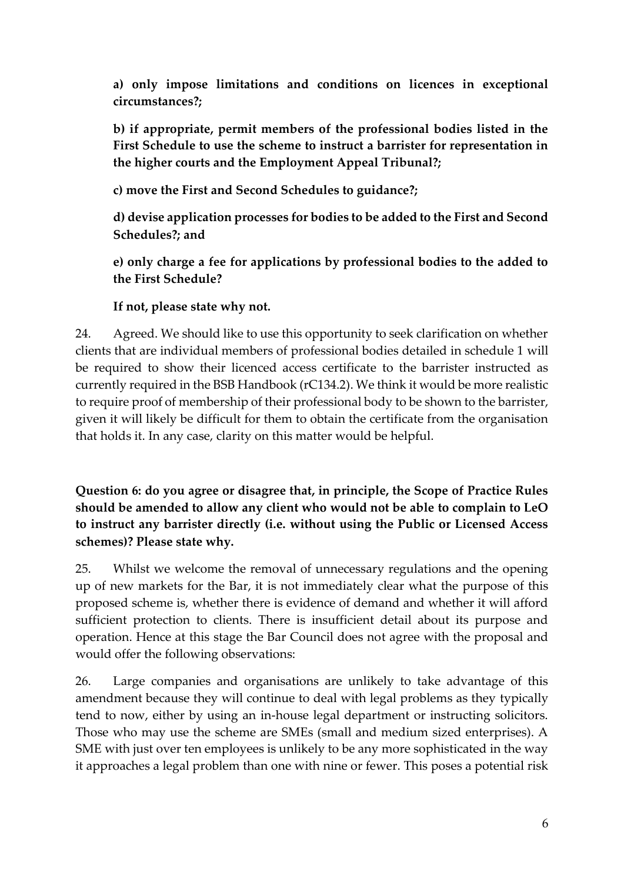**a) only impose limitations and conditions on licences in exceptional circumstances?;** 

**b) if appropriate, permit members of the professional bodies listed in the First Schedule to use the scheme to instruct a barrister for representation in the higher courts and the Employment Appeal Tribunal?;** 

**c) move the First and Second Schedules to guidance?;** 

**d) devise application processes for bodies to be added to the First and Second Schedules?; and** 

**e) only charge a fee for applications by professional bodies to the added to the First Schedule?** 

## **If not, please state why not.**

24. Agreed. We should like to use this opportunity to seek clarification on whether clients that are individual members of professional bodies detailed in schedule 1 will be required to show their licenced access certificate to the barrister instructed as currently required in the BSB Handbook (rC134.2). We think it would be more realistic to require proof of membership of their professional body to be shown to the barrister, given it will likely be difficult for them to obtain the certificate from the organisation that holds it. In any case, clarity on this matter would be helpful.

**Question 6: do you agree or disagree that, in principle, the Scope of Practice Rules should be amended to allow any client who would not be able to complain to LeO to instruct any barrister directly (i.e. without using the Public or Licensed Access schemes)? Please state why.** 

25. Whilst we welcome the removal of unnecessary regulations and the opening up of new markets for the Bar, it is not immediately clear what the purpose of this proposed scheme is, whether there is evidence of demand and whether it will afford sufficient protection to clients. There is insufficient detail about its purpose and operation. Hence at this stage the Bar Council does not agree with the proposal and would offer the following observations:

26. Large companies and organisations are unlikely to take advantage of this amendment because they will continue to deal with legal problems as they typically tend to now, either by using an in-house legal department or instructing solicitors. Those who may use the scheme are SMEs (small and medium sized enterprises). A SME with just over ten employees is unlikely to be any more sophisticated in the way it approaches a legal problem than one with nine or fewer. This poses a potential risk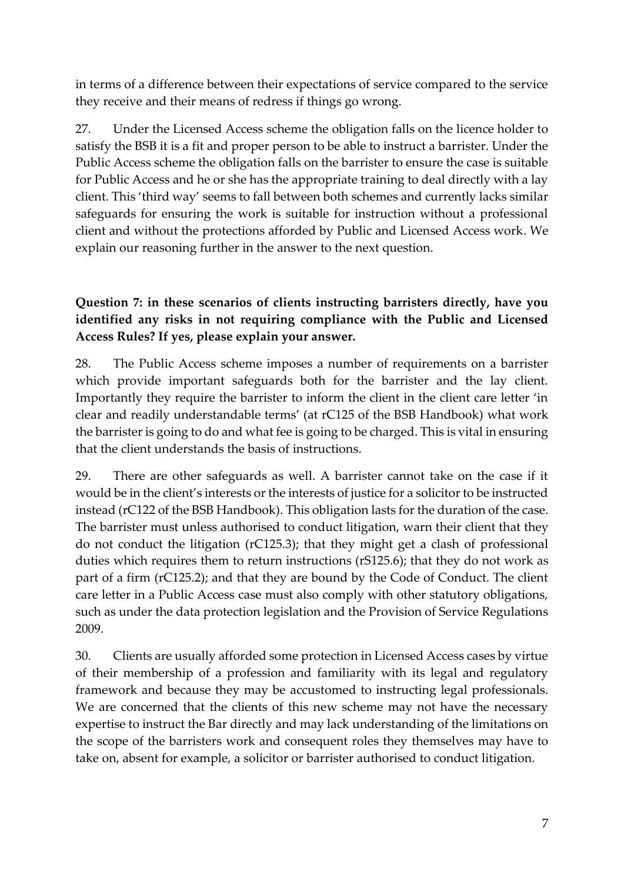in terms of a difference between their expectations of service compared to the service they receive and their means of redress if things go wrong.

27. Under the Licensed Access scheme the obligation falls on the licence holder to satisfy the BSB it is a fit and proper person to be able to instruct a barrister. Under the Public Access scheme the obligation falls on the barrister to ensure the case is suitable for Public Access and he or she has the appropriate training to deal directly with a lay client. This 'third way' seems to fall between both schemes and currently lacks similar safeguards for ensuring the work is suitable for instruction without a professional client and without the protections afforded by Public and Licensed Access work. We explain our reasoning further in the answer to the next question.

## **Question 7: in these scenarios of clients instructing barristers directly, have you identified any risks in not requiring compliance with the Public and Licensed Access Rules? If yes, please explain your answer.**

28. The Public Access scheme imposes a number of requirements on a barrister which provide important safeguards both for the barrister and the lay client. Importantly they require the barrister to inform the client in the client care letter 'in clear and readily understandable terms' (at rC125 of the BSB Handbook) what work the barrister is going to do and what fee is going to be charged. This is vital in ensuring that the client understands the basis of instructions.

29. There are other safeguards as well. A barrister cannot take on the case if it would be in the client's interests or the interests of justice for a solicitor to be instructed instead (rC122 of the BSB Handbook). This obligation lasts for the duration of the case. The barrister must unless authorised to conduct litigation, warn their client that they do not conduct the litigation (rC125.3); that they might get a clash of professional duties which requires them to return instructions (rS125.6); that they do not work as part of a firm (rC125.2); and that they are bound by the Code of Conduct. The client care letter in a Public Access case must also comply with other statutory obligations, such as under the data protection legislation and the Provision of Service Regulations 2009.

30. Clients are usually afforded some protection in Licensed Access cases by virtue of their membership of a profession and familiarity with its legal and regulatory framework and because they may be accustomed to instructing legal professionals. We are concerned that the clients of this new scheme may not have the necessary expertise to instruct the Bar directly and may lack understanding of the limitations on the scope of the barristers work and consequent roles they themselves may have to take on, absent for example, a solicitor or barrister authorised to conduct litigation.